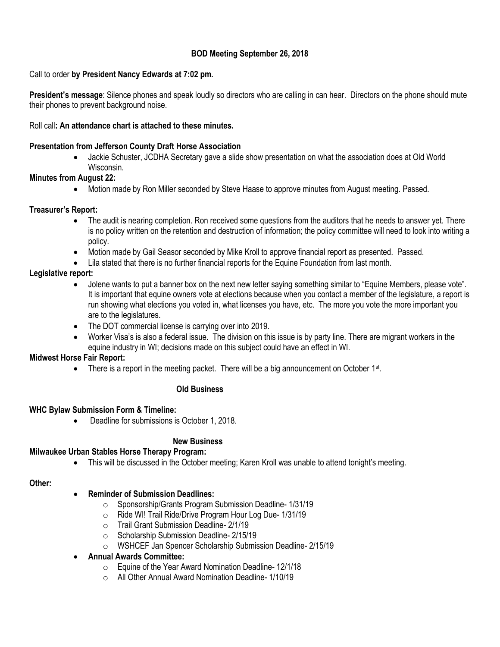# **BOD Meeting September 26, 2018**

## Call to order **by President Nancy Edwards at 7:02 pm.**

**President's message**: Silence phones and speak loudly so directors who are calling in can hear. Directors on the phone should mute their phones to prevent background noise.

## Roll call**: An attendance chart is attached to these minutes.**

## **Presentation from Jefferson County Draft Horse Association**

 Jackie Schuster, JCDHA Secretary gave a slide show presentation on what the association does at Old World Wisconsin.

### **Minutes from August 22:**

Motion made by Ron Miller seconded by Steve Haase to approve minutes from August meeting. Passed.

### **Treasurer's Report:**

- The audit is nearing completion. Ron received some questions from the auditors that he needs to answer yet. There is no policy written on the retention and destruction of information; the policy committee will need to look into writing a policy.
- Motion made by Gail Seasor seconded by Mike Kroll to approve financial report as presented. Passed.
- Lila stated that there is no further financial reports for the Equine Foundation from last month.

### **Legislative report:**

- Jolene wants to put a banner box on the next new letter saying something similar to "Equine Members, please vote". It is important that equine owners vote at elections because when you contact a member of the legislature, a report is run showing what elections you voted in, what licenses you have, etc. The more you vote the more important you are to the legislatures.
- The DOT commercial license is carrying over into 2019.
- Worker Visa's is also a federal issue. The division on this issue is by party line. There are migrant workers in the equine industry in WI; decisions made on this subject could have an effect in WI.

#### **Midwest Horse Fair Report:**

• There is a report in the meeting packet. There will be a big announcement on October 1<sup>st</sup>.

#### **Old Business**

#### **WHC Bylaw Submission Form & Timeline:**

Deadline for submissions is October 1, 2018.

#### **New Business**

#### **Milwaukee Urban Stables Horse Therapy Program:**

This will be discussed in the October meeting; Karen Kroll was unable to attend tonight's meeting.

#### **Other:**

## **Reminder of Submission Deadlines:**

- o Sponsorship/Grants Program Submission Deadline- 1/31/19
- o Ride WI! Trail Ride/Drive Program Hour Log Due- 1/31/19
- o Trail Grant Submission Deadline- 2/1/19
- o Scholarship Submission Deadline- 2/15/19
- o WSHCEF Jan Spencer Scholarship Submission Deadline- 2/15/19

## **Annual Awards Committee:**

- o Equine of the Year Award Nomination Deadline- 12/1/18
- o All Other Annual Award Nomination Deadline- 1/10/19